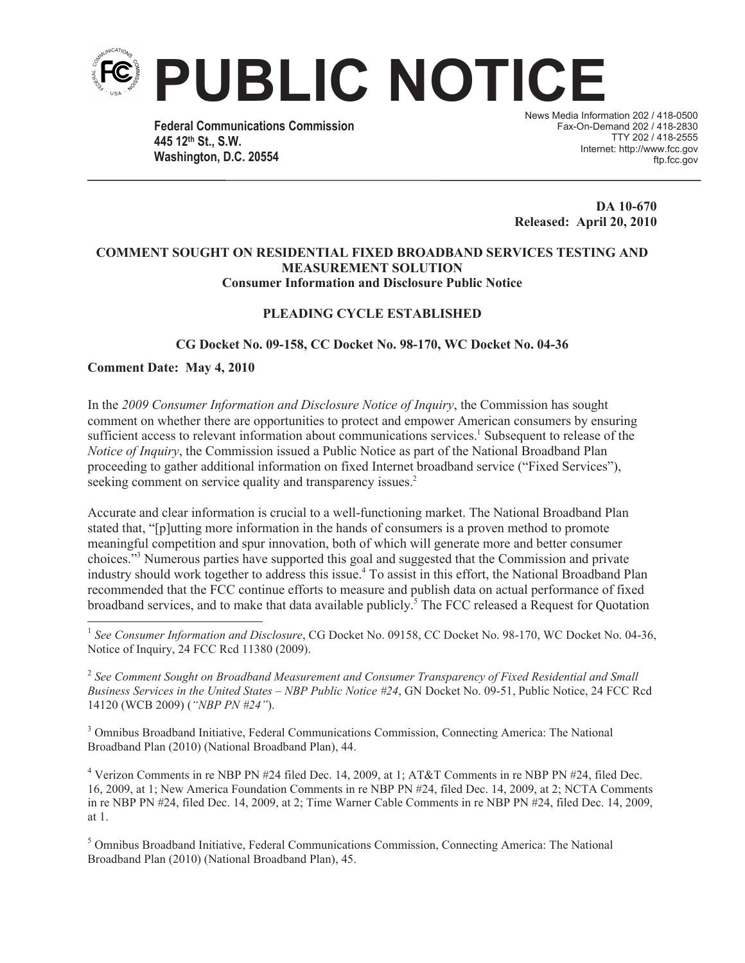

**Federal Communications Commission 445 12th St., S.W. Washington, D.C. 20554**

News Media Information 202 / 418-0500 Fax-On-Demand 202 / 418-2830 TTY 202 / 418-2555 Internet: http://www.fcc.gov ftp.fcc.gov

**DA 10-670 Released: April 20, 2010**

#### **COMMENT SOUGHT ON RESIDENTIAL FIXED BROADBAND SERVICES TESTING AND MEASUREMENT SOLUTION Consumer Information and Disclosure Public Notice**

### **PLEADING CYCLE ESTABLISHED**

**CG Docket No. 09-158, CC Docket No. 98-170, WC Docket No. 04-36**

**Comment Date: May 4, 2010**

In the *2009 Consumer Information and Disclosure Notice of Inquiry*, the Commission has sought comment on whether there are opportunities to protect and empower American consumers by ensuring sufficient access to relevant information about communications services.<sup>1</sup> Subsequent to release of the *Notice of Inquiry*, the Commission issued a Public Notice as part of the National Broadband Plan proceeding to gather additional information on fixed Internet broadband service ("Fixed Services"), seeking comment on service quality and transparency issues.<sup>2</sup>

Accurate and clear information is crucial to a well-functioning market. The National Broadband Plan stated that, "[p]utting more information in the hands of consumers is a proven method to promote meaningful competition and spur innovation, both of which will generate more and better consumer choices."<sup>3</sup> Numerous parties have supported this goal and suggested that the Commission and private industry should work together to address this issue.<sup>4</sup> To assist in this effort, the National Broadband Plan recommended that the FCC continue efforts to measure and publish data on actual performance of fixed broadband services, and to make that data available publicly.<sup>5</sup> The FCC released a Request for Quotation

<sup>1</sup> See Consumer Information and Disclosure, CG Docket No. 09158, CC Docket No. 98-170, WC Docket No. 04-36, Notice of Inquiry, 24 FCC Rcd 11380 (2009).

2 *See Comment Sought on Broadband Measurement and Consumer Transparency of Fixed Residential and Small Business Services in the United States – NBP Public Notice #24*, GN Docket No. 09-51, Public Notice, 24 FCC Rcd 14120 (WCB 2009) (*"NBP PN #24"*).

<sup>3</sup> Omnibus Broadband Initiative, Federal Communications Commission, Connecting America: The National Broadband Plan (2010) (National Broadband Plan), 44.

<sup>4</sup> Verizon Comments in re NBP PN #24 filed Dec. 14, 2009, at 1; AT&T Comments in re NBP PN #24, filed Dec. 16, 2009, at 1; New America Foundation Comments in re NBP PN #24, filed Dec. 14, 2009, at 2; NCTA Comments in re NBP PN #24, filed Dec. 14, 2009, at 2; Time Warner Cable Comments in re NBP PN #24, filed Dec. 14, 2009, at 1.

<sup>5</sup> Omnibus Broadband Initiative, Federal Communications Commission, Connecting America: The National Broadband Plan (2010) (National Broadband Plan), 45.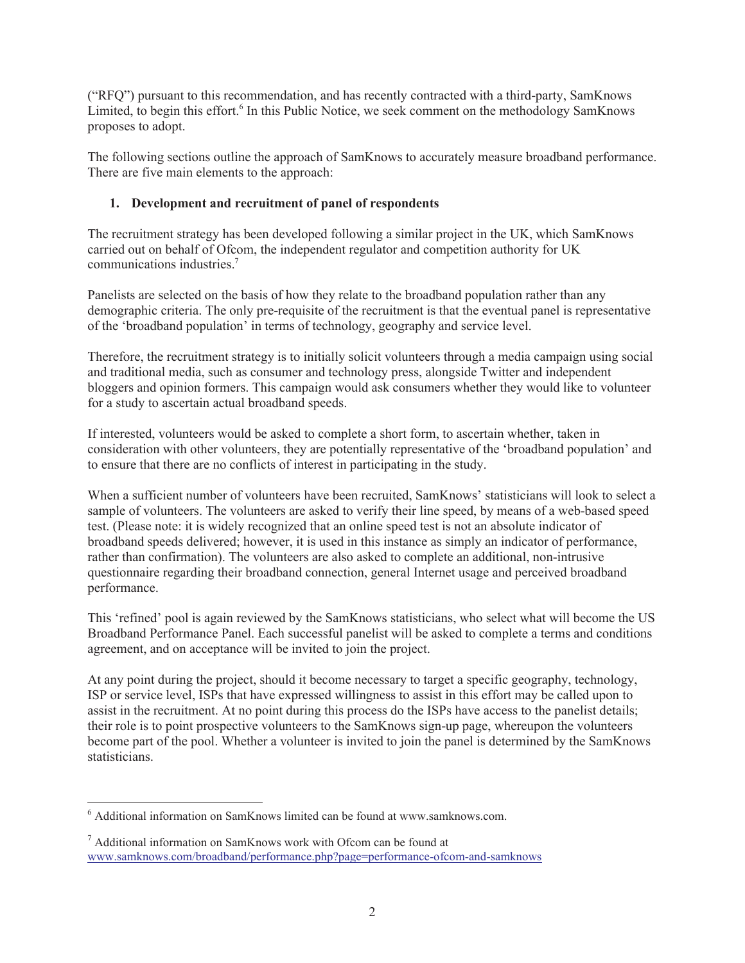("RFQ") pursuant to this recommendation, and has recently contracted with a third-party, SamKnows Limited, to begin this effort.<sup>6</sup> In this Public Notice, we seek comment on the methodology SamKnows proposes to adopt.

The following sections outline the approach of SamKnows to accurately measure broadband performance. There are five main elements to the approach:

# **1. Development and recruitment of panel of respondents**

The recruitment strategy has been developed following a similar project in the UK, which SamKnows carried out on behalf of Ofcom, the independent regulator and competition authority for UK communications industries.<sup>7</sup>

Panelists are selected on the basis of how they relate to the broadband population rather than any demographic criteria. The only pre-requisite of the recruitment is that the eventual panel is representative of the 'broadband population' in terms of technology, geography and service level.

Therefore, the recruitment strategy is to initially solicit volunteers through a media campaign using social and traditional media, such as consumer and technology press, alongside Twitter and independent bloggers and opinion formers. This campaign would ask consumers whether they would like to volunteer for a study to ascertain actual broadband speeds.

If interested, volunteers would be asked to complete a short form, to ascertain whether, taken in consideration with other volunteers, they are potentially representative of the 'broadband population' and to ensure that there are no conflicts of interest in participating in the study.

When a sufficient number of volunteers have been recruited, SamKnows' statisticians will look to select a sample of volunteers. The volunteers are asked to verify their line speed, by means of a web-based speed test. (Please note: it is widely recognized that an online speed test is not an absolute indicator of broadband speeds delivered; however, it is used in this instance as simply an indicator of performance, rather than confirmation). The volunteers are also asked to complete an additional, non-intrusive questionnaire regarding their broadband connection, general Internet usage and perceived broadband performance.

This 'refined' pool is again reviewed by the SamKnows statisticians, who select what will become the US Broadband Performance Panel. Each successful panelist will be asked to complete a terms and conditions agreement, and on acceptance will be invited to join the project.

At any point during the project, should it become necessary to target a specific geography, technology, ISP or service level, ISPs that have expressed willingness to assist in this effort may be called upon to assist in the recruitment. At no point during this process do the ISPs have access to the panelist details; their role is to point prospective volunteers to the SamKnows sign-up page, whereupon the volunteers become part of the pool. Whether a volunteer is invited to join the panel is determined by the SamKnows statisticians.

<sup>6</sup> Additional information on SamKnows limited can be found at www.samknows.com.

<sup>7</sup> Additional information on SamKnows work with Ofcom can be found at www.samknows.com/broadband/performance.php?page=performance-ofcom-and-samknows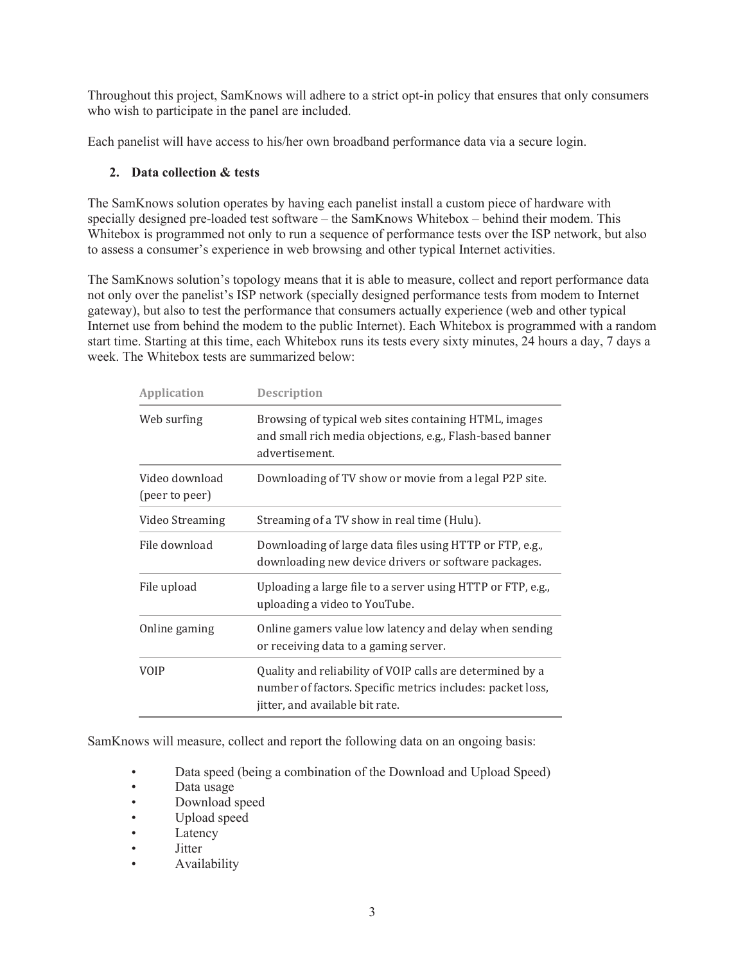Throughout this project, SamKnows will adhere to a strict opt-in policy that ensures that only consumers who wish to participate in the panel are included.

Each panelist will have access to his/her own broadband performance data via a secure login.

### **2. Data collection & tests**

The SamKnows solution operates by having each panelist install a custom piece of hardware with specially designed pre-loaded test software – the SamKnows Whitebox – behind their modem. This Whitebox is programmed not only to run a sequence of performance tests over the ISP network, but also to assess a consumer's experience in web browsing and other typical Internet activities.

The SamKnows solution's topology means that it is able to measure, collect and report performance data not only over the panelist's ISP network (specially designed performance tests from modem to Internet gateway), but also to test the performance that consumers actually experience (web and other typical Internet use from behind the modem to the public Internet). Each Whitebox is programmed with a random start time. Starting at this time, each Whitebox runs its tests every sixty minutes, 24 hours a day, 7 days a week. The Whitebox tests are summarized below:

| <b>Application</b>               | <b>Description</b>                                                                                                                                         |
|----------------------------------|------------------------------------------------------------------------------------------------------------------------------------------------------------|
| Web surfing                      | Browsing of typical web sites containing HTML, images<br>and small rich media objections, e.g., Flash-based banner<br>advertisement.                       |
| Video download<br>(peer to peer) | Downloading of TV show or movie from a legal P2P site.                                                                                                     |
| Video Streaming                  | Streaming of a TV show in real time (Hulu).                                                                                                                |
| File download                    | Downloading of large data files using HTTP or FTP, e.g.,<br>downloading new device drivers or software packages.                                           |
| File upload                      | Uploading a large file to a server using HTTP or FTP, e.g.,<br>uploading a video to YouTube.                                                               |
| Online gaming                    | Online gamers value low latency and delay when sending<br>or receiving data to a gaming server.                                                            |
| VOIP                             | Quality and reliability of VOIP calls are determined by a<br>number of factors. Specific metrics includes: packet loss,<br>jitter, and available bit rate. |

SamKnows will measure, collect and report the following data on an ongoing basis:

- Data speed (being a combination of the Download and Upload Speed)
- Data usage
- Download speed
- Upload speed
- Latency
- Jitter
- Availability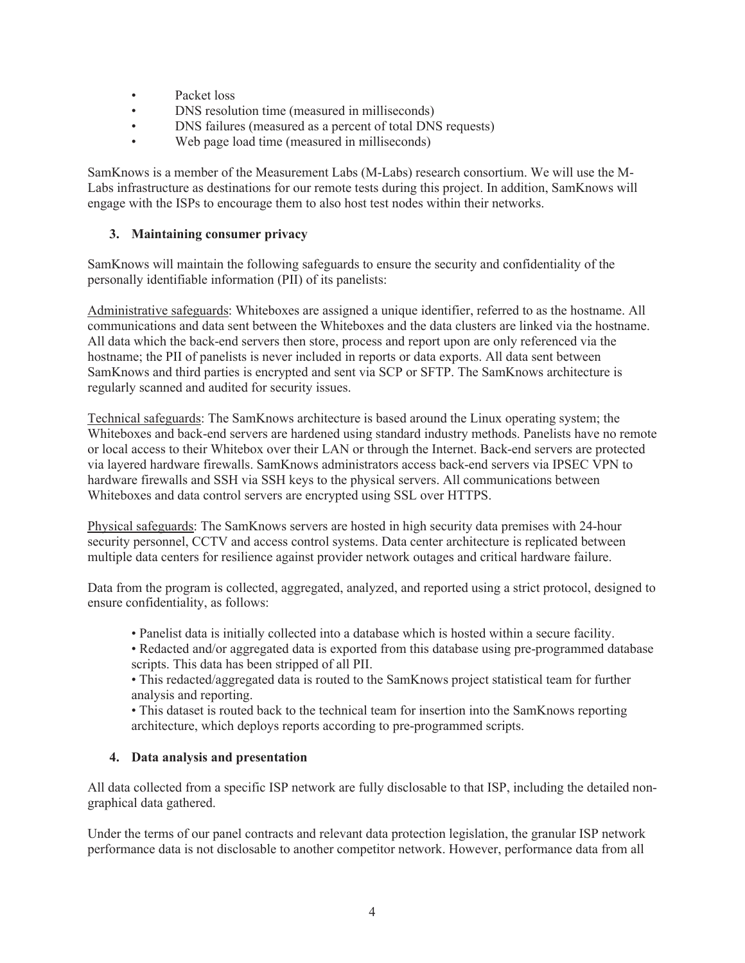- Packet loss
- DNS resolution time (measured in milliseconds)
- DNS failures (measured as a percent of total DNS requests)
- Web page load time (measured in milliseconds)

SamKnows is a member of the Measurement Labs (M-Labs) research consortium. We will use the M-Labs infrastructure as destinations for our remote tests during this project. In addition, SamKnows will engage with the ISPs to encourage them to also host test nodes within their networks.

# **3. Maintaining consumer privacy**

SamKnows will maintain the following safeguards to ensure the security and confidentiality of the personally identifiable information (PII) of its panelists:

Administrative safeguards: Whiteboxes are assigned a unique identifier, referred to as the hostname. All communications and data sent between the Whiteboxes and the data clusters are linked via the hostname. All data which the back-end servers then store, process and report upon are only referenced via the hostname; the PII of panelists is never included in reports or data exports. All data sent between SamKnows and third parties is encrypted and sent via SCP or SFTP. The SamKnows architecture is regularly scanned and audited for security issues.

Technical safeguards: The SamKnows architecture is based around the Linux operating system; the Whiteboxes and back-end servers are hardened using standard industry methods. Panelists have no remote or local access to their Whitebox over their LAN or through the Internet. Back-end servers are protected via layered hardware firewalls. SamKnows administrators access back-end servers via IPSEC VPN to hardware firewalls and SSH via SSH keys to the physical servers. All communications between Whiteboxes and data control servers are encrypted using SSL over HTTPS.

Physical safeguards: The SamKnows servers are hosted in high security data premises with 24-hour security personnel, CCTV and access control systems. Data center architecture is replicated between multiple data centers for resilience against provider network outages and critical hardware failure.

Data from the program is collected, aggregated, analyzed, and reported using a strict protocol, designed to ensure confidentiality, as follows:

- Panelist data is initially collected into a database which is hosted within a secure facility.
- Redacted and/or aggregated data is exported from this database using pre-programmed database scripts. This data has been stripped of all PII.
- This redacted/aggregated data is routed to the SamKnows project statistical team for further analysis and reporting.

• This dataset is routed back to the technical team for insertion into the SamKnows reporting architecture, which deploys reports according to pre-programmed scripts.

# **4. Data analysis and presentation**

All data collected from a specific ISP network are fully disclosable to that ISP, including the detailed nongraphical data gathered.

Under the terms of our panel contracts and relevant data protection legislation, the granular ISP network performance data is not disclosable to another competitor network. However, performance data from all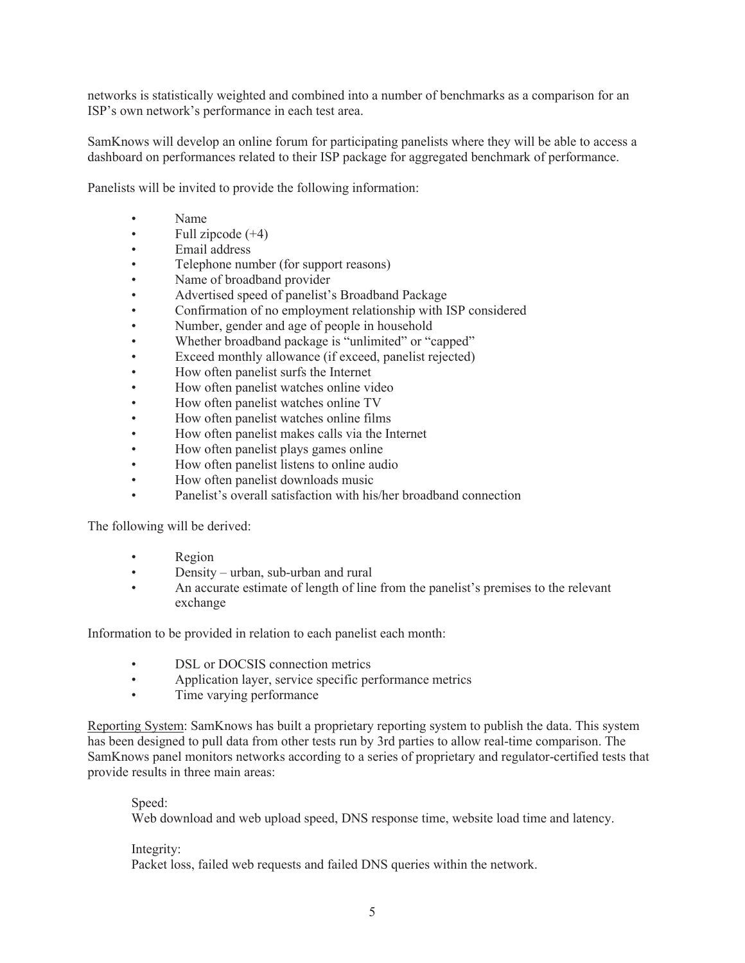networks is statistically weighted and combined into a number of benchmarks as a comparison for an ISP's own network's performance in each test area.

SamKnows will develop an online forum for participating panelists where they will be able to access a dashboard on performances related to their ISP package for aggregated benchmark of performance.

Panelists will be invited to provide the following information:

- Name
- Full zipcode  $(+4)$
- Email address
- Telephone number (for support reasons)
- Name of broadband provider
- Advertised speed of panelist's Broadband Package
- Confirmation of no employment relationship with ISP considered
- Number, gender and age of people in household
- Whether broadband package is "unlimited" or "capped"
- Exceed monthly allowance (if exceed, panelist rejected)
- How often panelist surfs the Internet
- How often panelist watches online video
- How often panelist watches online TV
- How often panelist watches online films
- How often panelist makes calls via the Internet
- How often panelist plays games online
- How often panelist listens to online audio
- How often panelist downloads music
- Panelist's overall satisfaction with his/her broadband connection

The following will be derived:

- Region
- Density urban, sub-urban and rural
- An accurate estimate of length of line from the panelist's premises to the relevant exchange

Information to be provided in relation to each panelist each month:

- DSL or DOCSIS connection metrics
- Application layer, service specific performance metrics
- Time varying performance

Reporting System: SamKnows has built a proprietary reporting system to publish the data. This system has been designed to pull data from other tests run by 3rd parties to allow real-time comparison. The SamKnows panel monitors networks according to a series of proprietary and regulator-certified tests that provide results in three main areas:

Speed:

Web download and web upload speed, DNS response time, website load time and latency.

#### Integrity:

Packet loss, failed web requests and failed DNS queries within the network.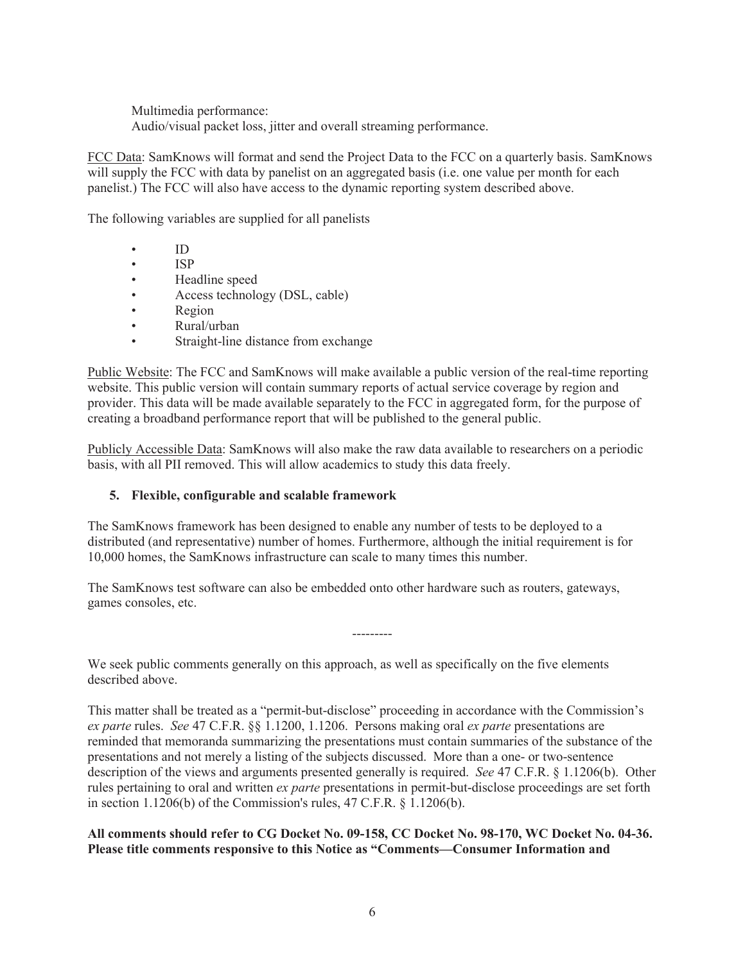Multimedia performance: Audio/visual packet loss, jitter and overall streaming performance.

FCC Data: SamKnows will format and send the Project Data to the FCC on a quarterly basis. SamKnows will supply the FCC with data by panelist on an aggregated basis (i.e. one value per month for each panelist.) The FCC will also have access to the dynamic reporting system described above.

The following variables are supplied for all panelists

- ID
- ISP
- Headline speed
- Access technology (DSL, cable)
- Region
- Rural/urban
- Straight-line distance from exchange

Public Website: The FCC and SamKnows will make available a public version of the real-time reporting website. This public version will contain summary reports of actual service coverage by region and provider. This data will be made available separately to the FCC in aggregated form, for the purpose of creating a broadband performance report that will be published to the general public.

Publicly Accessible Data: SamKnows will also make the raw data available to researchers on a periodic basis, with all PII removed. This will allow academics to study this data freely.

# **5. Flexible, configurable and scalable framework**

The SamKnows framework has been designed to enable any number of tests to be deployed to a distributed (and representative) number of homes. Furthermore, although the initial requirement is for 10,000 homes, the SamKnows infrastructure can scale to many times this number.

The SamKnows test software can also be embedded onto other hardware such as routers, gateways, games consoles, etc.

We seek public comments generally on this approach, as well as specifically on the five elements described above.

This matter shall be treated as a "permit-but-disclose" proceeding in accordance with the Commission's *ex parte* rules. *See* 47 C.F.R. §§ 1.1200, 1.1206. Persons making oral *ex parte* presentations are reminded that memoranda summarizing the presentations must contain summaries of the substance of the presentations and not merely a listing of the subjects discussed. More than a one- or two-sentence description of the views and arguments presented generally is required. *See* 47 C.F.R. § 1.1206(b). Other rules pertaining to oral and written *ex parte* presentations in permit-but-disclose proceedings are set forth in section 1.1206(b) of the Commission's rules, 47 C.F.R. § 1.1206(b).

### **All comments should refer to CG Docket No. 09-158, CC Docket No. 98-170, WC Docket No. 04-36. Please title comments responsive to this Notice as "Comments—Consumer Information and**